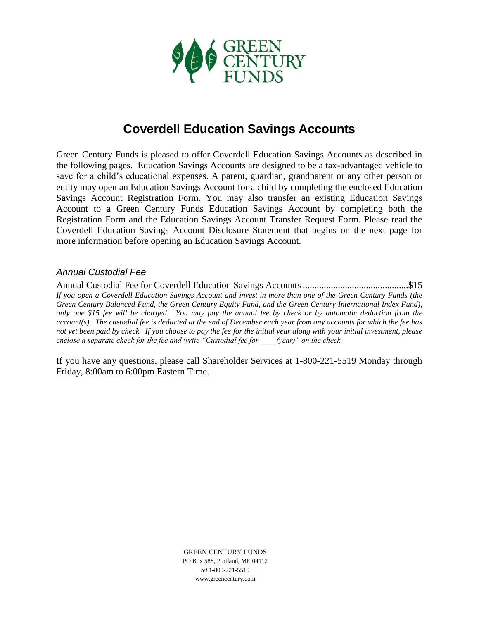

# **Coverdell Education Savings Accounts**

Green Century Funds is pleased to offer Coverdell Education Savings Accounts as described in the following pages. Education Savings Accounts are designed to be a tax-advantaged vehicle to save for a child's educational expenses. A parent, guardian, grandparent or any other person or entity may open an Education Savings Account for a child by completing the enclosed Education Savings Account Registration Form. You may also transfer an existing Education Savings Account to a Green Century Funds Education Savings Account by completing both the Registration Form and the Education Savings Account Transfer Request Form. Please read the Coverdell Education Savings Account Disclosure Statement that begins on the next page for more information before opening an Education Savings Account.

# *Annual Custodial Fee*

Annual Custodial Fee for Coverdell Education Savings Accounts.............................................\$15 *If you open a Coverdell Education Savings Account and invest in more than one of the Green Century Funds (the Green Century Balanced Fund, the Green Century Equity Fund, and the Green Century International Index Fund), only one \$15 fee will be charged. You may pay the annual fee by check or by automatic deduction from the account(s). The custodial fee is deducted at the end of December each year from any accounts for which the fee has not yet been paid by check. If you choose to pay the fee for the initial year along with your initial investment, please enclose a separate check for the fee and write "Custodial fee for \_\_\_\_(year)" on the check.*

If you have any questions, please call Shareholder Services at 1-800-221-5519 Monday through Friday, 8:00am to 6:00pm Eastern Time.

> GREEN CENTURY FUNDS PO Box 588, Portland, ME 04112 *tel* 1-800-221-5519 www.greencentury.com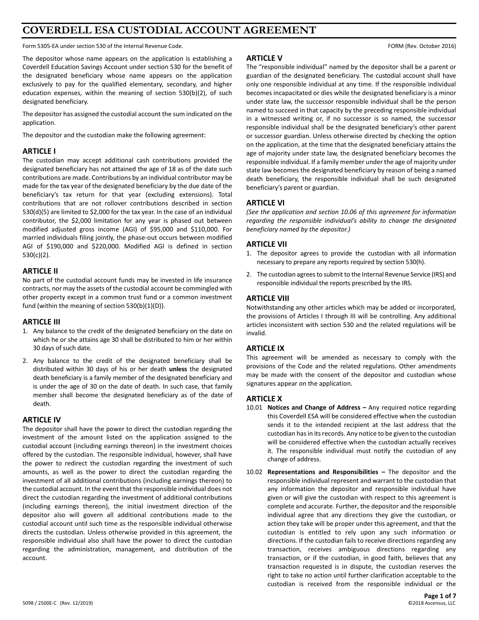# **COVERDELL ESA CUSTODIAL ACCOUNT AGREEMENT**

Form 5305-EA under section 530 of the Internal Revenue Code. FORM (Rev. October 2016)

The depositor whose name appears on the application is establishing a Coverdell Education Savings Account under section 530 for the benefit of the designated beneficiary whose name appears on the application exclusively to pay for the qualified elementary, secondary, and higher education expenses, within the meaning of section 530(b)(2), of such designated beneficiary.

The depositor has assigned the custodial account the sum indicated on the application.

The depositor and the custodian make the following agreement:

#### **ARTICLE I**

The custodian may accept additional cash contributions provided the designated beneficiary has not attained the age of 18 as of the date such contributions are made. Contributions by an individual contributor may be made for the tax year of the designated beneficiary by the due date of the beneficiary's tax return for that year (excluding extensions). Total contributions that are not rollover contributions described in section 530(d)(5) are limited to \$2,000 for the tax year. In the case of an individual contributor, the \$2,000 limitation for any year is phased out between modified adjusted gross income (AGI) of \$95,000 and \$110,000. For married individuals filing jointly, the phase-out occurs between modified AGI of \$190,000 and \$220,000. Modified AGI is defined in section 530(c)(2).

# **ARTICLE II**

No part of the custodial account funds may be invested in life insurance contracts, nor may the assets of the custodial account be commingled with other property except in a common trust fund or a common investment fund (within the meaning of section 530(b)(1)(D)).

#### **ARTICLE III**

- 1. Any balance to the credit of the designated beneficiary on the date on which he or she attains age 30 shall be distributed to him or her within 30 days of such date.
- 2. Any balance to the credit of the designated beneficiary shall be distributed within 30 days of his or her death **unless** the designated death beneficiary is a family member of the designated beneficiary and is under the age of 30 on the date of death. In such case, that family member shall become the designated beneficiary as of the date of death.

# **ARTICLE IV**

The depositor shall have the power to direct the custodian regarding the investment of the amount listed on the application assigned to the custodial account (including earnings thereon) in the investment choices offered by the custodian. The responsible individual, however, shall have the power to redirect the custodian regarding the investment of such amounts, as well as the power to direct the custodian regarding the investment of all additional contributions (including earnings thereon) to the custodial account. In the event that the responsible individual does not direct the custodian regarding the investment of additional contributions (including earnings thereon), the initial investment direction of the depositor also will govern all additional contributions made to the custodial account until such time as the responsible individual otherwise directs the custodian. Unless otherwise provided in this agreement, the responsible individual also shall have the power to direct the custodian regarding the administration, management, and distribution of the account.

# **ARTICLE V**

The "responsible individual" named by the depositor shall be a parent or guardian of the designated beneficiary. The custodial account shall have only one responsible individual at any time. If the responsible individual becomes incapacitated or dies while the designated beneficiary is a minor under state law, the successor responsible individual shall be the person named to succeed in that capacity by the preceding responsible individual in a witnessed writing or, if no successor is so named, the successor responsible individual shall be the designated beneficiary's other parent or successor guardian. Unless otherwise directed by checking the option on the application, at the time that the designated beneficiary attains the age of majority under state law, the designated beneficiary becomes the responsible individual. If a family member under the age of majority under state law becomes the designated beneficiary by reason of being a named death beneficiary, the responsible individual shall be such designated beneficiary's parent or guardian.

# **ARTICLE VI**

*(See the application and section 10.06 of this agreement for information regarding the responsible individual's ability to change the designated beneficiary named by the depositor.)*

# **ARTICLE VII**

- 1. The depositor agrees to provide the custodian with all information necessary to prepare any reports required by section 530(h).
- 2. The custodian agrees to submit to the Internal Revenue Service (IRS) and responsible individual the reports prescribed by the IRS.

#### **ARTICLE VIII**

Notwithstanding any other articles which may be added or incorporated, the provisions of Articles I through III will be controlling. Any additional articles inconsistent with section 530 and the related regulations will be invalid.

# **ARTICLE IX**

This agreement will be amended as necessary to comply with the provisions of the Code and the related regulations. Other amendments may be made with the consent of the depositor and custodian whose signatures appear on the application.

#### **ARTICLE X**

- 10.01 **Notices and Change of Address –** Any required notice regarding this Coverdell ESA will be considered effective when the custodian sends it to the intended recipient at the last address that the custodian has in its records. Any notice to be given to the custodian will be considered effective when the custodian actually receives it. The responsible individual must notify the custodian of any change of address.
- 10.02 **Representations and Responsibilities –** The depositor and the responsible individual represent and warrant to the custodian that any information the depositor and responsible individual have given or will give the custodian with respect to this agreement is complete and accurate. Further, the depositor and the responsible individual agree that any directions they give the custodian, or action they take will be proper under this agreement, and that the custodian is entitled to rely upon any such information or directions. If the custodian fails to receive directions regarding any transaction, receives ambiguous directions regarding any transaction, or if the custodian, in good faith, believes that any transaction requested is in dispute, the custodian reserves the right to take no action until further clarification acceptable to the custodian is received from the responsible individual or the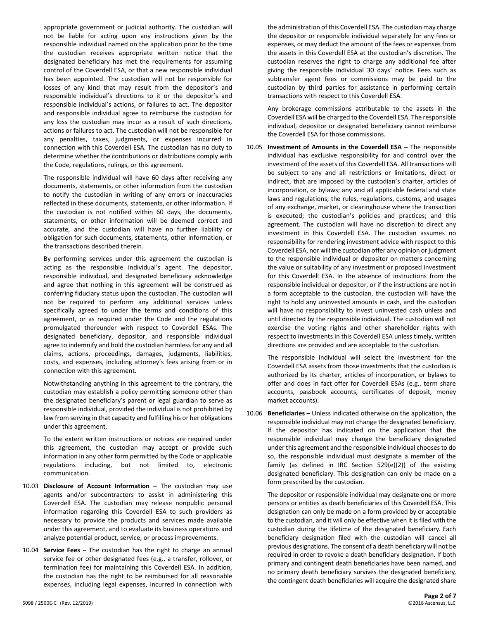appropriate government or judicial authority. The custodian will not be liable for acting upon any instructions given by the responsible individual named on the application prior to the time the custodian receives appropriate written notice that the designated beneficiary has met the requirements for assuming control of the Coverdell ESA, or that a new responsible individual has been appointed. The custodian will not be responsible for losses of any kind that may result from the depositor's and responsible individual's directions to it or the depositor's and responsible individual's actions, or failures to act. The depositor and responsible individual agree to reimburse the custodian for any loss the custodian may incur as a result of such directions, actions or failures to act. The custodian will not be responsible for any penalties, taxes, judgments, or expenses incurred in connection with this Coverdell ESA. The custodian has no duty to determine whether the contributions or distributions comply with the Code, regulations, rulings, or this agreement.

The responsible individual will have 60 days after receiving any documents, statements, or other information from the custodian to notify the custodian in writing of any errors or inaccuracies reflected in these documents, statements, or other information. If the custodian is not notified within 60 days, the documents, statements, or other information will be deemed correct and accurate, and the custodian will have no further liability or obligation for such documents, statements, other information, or the transactions described therein.

By performing services under this agreement the custodian is acting as the responsible individual's agent. The depositor, responsible individual, and designated beneficiary acknowledge and agree that nothing in this agreement will be construed as conferring fiduciary status upon the custodian. The custodian will not be required to perform any additional services unless specifically agreed to under the terms and conditions of this agreement, or as required under the Code and the regulations promulgated thereunder with respect to Coverdell ESAs. The designated beneficiary, depositor, and responsible individual agree to indemnify and hold the custodian harmless for any and all claims, actions, proceedings, damages, judgments, liabilities, costs, and expenses, including attorney's fees arising from or in connection with this agreement.

Notwithstanding anything in this agreement to the contrary, the custodian may establish a policy permitting someone other than the designated beneficiary's parent or legal guardian to serve as responsible individual, provided the individual is not prohibited by law from serving in that capacity and fulfilling his or her obligations under this agreement.

To the extent written instructions or notices are required under this agreement, the custodian may accept or provide such information in any other form permitted by the Code or applicable regulations including, but not limited to, electronic communication.

- 10.03 **Disclosure of Account Information –** The custodian may use agents and/or subcontractors to assist in administering this Coverdell ESA. The custodian may release nonpublic personal information regarding this Coverdell ESA to such providers as necessary to provide the products and services made available under this agreement, and to evaluate its business operations and analyze potential product, service, or process improvements.
- 10.04 **Service Fees –** The custodian has the right to charge an annual service fee or other designated fees (e.g., a transfer, rollover, or termination fee) for maintaining this Coverdell ESA. In addition, the custodian has the right to be reimbursed for all reasonable expenses, including legal expenses, incurred in connection with

the administration of this Coverdell ESA. The custodian may charge the depositor or responsible individual separately for any fees or expenses, or may deduct the amount of the fees or expenses from the assets in this Coverdell ESA at the custodian's discretion. The custodian reserves the right to charge any additional fee after giving the responsible individual 30 days' notice. Fees such as subtransfer agent fees or commissions may be paid to the custodian by third parties for assistance in performing certain transactions with respect to this Coverdell ESA.

Any brokerage commissions attributable to the assets in the Coverdell ESA will be charged to the Coverdell ESA. The responsible individual, depositor or designated beneficiary cannot reimburse the Coverdell ESA for those commissions.

10.05 **Investment of Amounts in the Coverdell ESA –** The responsible individual has exclusive responsibility for and control over the investment of the assets of this Coverdell ESA. All transactions will be subject to any and all restrictions or limitations, direct or indirect, that are imposed by the custodian's charter, articles of incorporation, or bylaws; any and all applicable federal and state laws and regulations; the rules, regulations, customs, and usages of any exchange, market, or clearinghouse where the transaction is executed; the custodian's policies and practices; and this agreement. The custodian will have no discretion to direct any investment in this Coverdell ESA. The custodian assumes no responsibility for rendering investment advice with respect to this Coverdell ESA, nor will the custodian offer any opinion or judgment to the responsible individual or depositor on matters concerning the value or suitability of any investment or proposed investment for this Coverdell ESA. In the absence of instructions from the responsible individual or depositor, or if the instructions are not in a form acceptable to the custodian, the custodian will have the right to hold any uninvested amounts in cash, and the custodian will have no responsibility to invest uninvested cash unless and until directed by the responsible individual. The custodian will not exercise the voting rights and other shareholder rights with respect to investments in this Coverdell ESA unless timely, written directions are provided and are acceptable to the custodian.

The responsible individual will select the investment for the Coverdell ESA assets from those investments that the custodian is authorized by its charter, articles of incorporation, or bylaws to offer and does in fact offer for Coverdell ESAs (e.g., term share accounts, passbook accounts, certificates of deposit, money market accounts).

10.06 **Beneficiaries –** Unless indicated otherwise on the application, the responsible individual may not change the designated beneficiary. If the depositor has indicated on the application that the responsible individual may change the beneficiary designated under this agreement and the responsible individual chooses to do so, the responsible individual must designate a member of the family (as defined in IRC Section 529(e)(2)) of the existing designated beneficiary. This designation can only be made on a form prescribed by the custodian.

The depositor or responsible individual may designate one or more persons or entities as death beneficiaries of this Coverdell ESA. This designation can only be made on a form provided by or acceptable to the custodian, and it will only be effective when it is filed with the custodian during the lifetime of the designated beneficiary. Each beneficiary designation filed with the custodian will cancel all previous designations. The consent of a death beneficiary will not be required in order to revoke a death beneficiary designation. If both primary and contingent death beneficiaries have been named, and no primary death beneficiary survives the designated beneficiary, the contingent death beneficiaries will acquire the designated share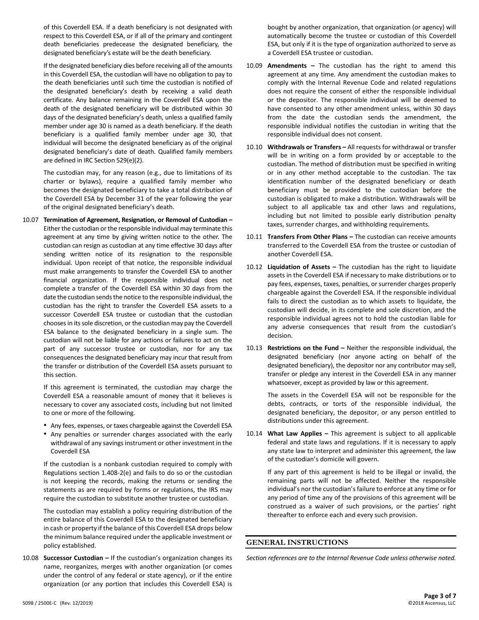of this Coverdell ESA. If a death beneficiary is not designated with respect to this Coverdell ESA, or if all of the primary and contingent death beneficiaries predecease the designated beneficiary, the designated beneficiary's estate will be the death beneficiary.

If the designated beneficiary dies before receiving all of the amounts in this Coverdell ESA, the custodian will have no obligation to pay to the death beneficiaries until such time the custodian is notified of the designated beneficiary's death by receiving a valid death certificate. Any balance remaining in the Coverdell ESA upon the death of the designated beneficiary will be distributed within 30 days of the designated beneficiary's death, unless a qualified family member under age 30 is named as a death beneficiary. If the death beneficiary is a qualified family member under age 30, that individual will become the designated beneficiary as of the original designated beneficiary's date of death. Qualified family members are defined in IRC Section 529(e)(2).

The custodian may, for any reason (e.g., due to limitations of its charter or bylaws), require a qualified family member who becomes the designated beneficiary to take a total distribution of the Coverdell ESA by December 31 of the year following the year of the original designated beneficiary's death.

10.07 **Termination of Agreement, Resignation, or Removal of Custodian –** Either the custodian or the responsible individual may terminate this agreement at any time by giving written notice to the other. The custodian can resign as custodian at any time effective 30 days after sending written notice of its resignation to the responsible individual. Upon receipt of that notice, the responsible individual must make arrangements to transfer the Coverdell ESA to another financial organization. If the responsible individual does not complete a transfer of the Coverdell ESA within 30 days from the date the custodian sends the notice to the responsible individual, the custodian has the right to transfer the Coverdell ESA assets to a successor Coverdell ESA trustee or custodian that the custodian chooses in its sole discretion, or the custodian may pay the Coverdell ESA balance to the designated beneficiary in a single sum. The custodian will not be liable for any actions or failures to act on the part of any successor trustee or custodian, nor for any tax consequences the designated beneficiary may incur that result from the transfer or distribution of the Coverdell ESA assets pursuant to this section.

> If this agreement is terminated, the custodian may charge the Coverdell ESA a reasonable amount of money that it believes is necessary to cover any associated costs, including but not limited to one or more of the following.

- Any fees, expenses, or taxes chargeable against the Coverdell ESA
- Any penalties or surrender charges associated with the early withdrawal of any savings instrument or other investment in the Coverdell ESA

If the custodian is a nonbank custodian required to comply with Regulations section 1.408-2(e) and fails to do so or the custodian is not keeping the records, making the returns or sending the statements as are required by forms or regulations, the IRS may require the custodian to substitute another trustee or custodian.

The custodian may establish a policy requiring distribution of the entire balance of this Coverdell ESA to the designated beneficiary in cash or property if the balance of this Coverdell ESA drops below the minimum balance required under the applicable investment or policy established.

10.08 **Successor Custodian –** If the custodian's organization changes its name, reorganizes, merges with another organization (or comes under the control of any federal or state agency), or if the entire organization (or any portion that includes this Coverdell ESA) is

bought by another organization, that organization (or agency) will automatically become the trustee or custodian of this Coverdell ESA, but only if it is the type of organization authorized to serve as a Coverdell ESA trustee or custodian.

- 10.09 **Amendments –** The custodian has the right to amend this agreement at any time. Any amendment the custodian makes to comply with the Internal Revenue Code and related regulations does not require the consent of either the responsible individual or the depositor. The responsible individual will be deemed to have consented to any other amendment unless, within 30 days from the date the custodian sends the amendment, the responsible individual notifies the custodian in writing that the responsible individual does not consent.
- 10.10 **Withdrawals or Transfers –** All requests for withdrawal or transfer will be in writing on a form provided by or acceptable to the custodian. The method of distribution must be specified in writing or in any other method acceptable to the custodian. The tax identification number of the designated beneficiary or death beneficiary must be provided to the custodian before the custodian is obligated to make a distribution. Withdrawals will be subject to all applicable tax and other laws and regulations, including but not limited to possible early distribution penalty taxes, surrender charges, and withholding requirements.
- 10.11 **Transfers From Other Plans –** The custodian can receive amounts transferred to the Coverdell ESA from the trustee or custodian of another Coverdell ESA.
- 10.12 **Liquidation of Assets –** The custodian has the right to liquidate assets in the Coverdell ESA if necessary to make distributions or to pay fees, expenses, taxes, penalties, or surrender charges properly chargeable against the Coverdell ESA. If the responsible individual fails to direct the custodian as to which assets to liquidate, the custodian will decide, in its complete and sole discretion, and the responsible individual agrees not to hold the custodian liable for any adverse consequences that result from the custodian's decision.
- 10.13 **Restrictions on the Fund –** Neither the responsible individual, the designated beneficiary (nor anyone acting on behalf of the designated beneficiary), the depositor nor any contributor may sell, transfer or pledge any interest in the Coverdell ESA in any manner whatsoever, except as provided by law or this agreement.

The assets in the Coverdell ESA will not be responsible for the debts, contracts, or torts of the responsible individual, the designated beneficiary, the depositor, or any person entitled to distributions under this agreement.

10.14 **What Law Applies –** This agreement is subject to all applicable federal and state laws and regulations. If it is necessary to apply any state law to interpret and administer this agreement, the law of the custodian's domicile will govern.

If any part of this agreement is held to be illegal or invalid, the remaining parts will not be affected. Neither the responsible individual's nor the custodian's failure to enforce at any time or for any period of time any of the provisions of this agreement will be construed as a waiver of such provisions, or the parties' right thereafter to enforce each and every such provision.

# **GENERAL INSTRUCTIONS**

*Section references are to the Internal Revenue Code unless otherwise noted.*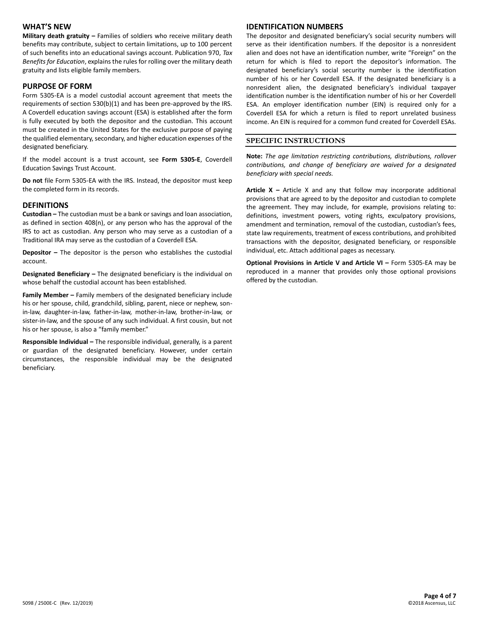# **WHAT'S NEW**

**Military death gratuity –** Families of soldiers who receive military death benefits may contribute, subject to certain limitations, up to 100 percent of such benefits into an educational savings account. Publication 970, *Tax Benefits for Education*, explains the rules for rolling over the military death gratuity and lists eligible family members.

#### **PURPOSE OF FORM**

Form 5305-EA is a model custodial account agreement that meets the requirements of section 530(b)(1) and has been pre-approved by the IRS. A Coverdell education savings account (ESA) is established after the form is fully executed by both the depositor and the custodian. This account must be created in the United States for the exclusive purpose of paying the qualified elementary, secondary, and higher education expenses of the designated beneficiary.

If the model account is a trust account, see **Form 5305-E**, Coverdell Education Savings Trust Account.

**Do not** file Form 5305-EA with the IRS. Instead, the depositor must keep the completed form in its records.

#### **DEFINITIONS**

**Custodian –** The custodian must be a bank or savings and loan association, as defined in section 408(n), or any person who has the approval of the IRS to act as custodian. Any person who may serve as a custodian of a Traditional IRA may serve as the custodian of a Coverdell ESA.

**Depositor –** The depositor is the person who establishes the custodial account.

**Designated Beneficiary –** The designated beneficiary is the individual on whose behalf the custodial account has been established.

**Family Member –** Family members of the designated beneficiary include his or her spouse, child, grandchild, sibling, parent, niece or nephew, sonin-law, daughter-in-law, father-in-law, mother-in-law, brother-in-law, or sister-in-law, and the spouse of any such individual. A first cousin, but not his or her spouse, is also a "family member."

**Responsible Individual –** The responsible individual, generally, is a parent or guardian of the designated beneficiary. However, under certain circumstances, the responsible individual may be the designated beneficiary.

# **IDENTIFICATION NUMBERS**

The depositor and designated beneficiary's social security numbers will serve as their identification numbers. If the depositor is a nonresident alien and does not have an identification number, write "Foreign" on the return for which is filed to report the depositor's information. The designated beneficiary's social security number is the identification number of his or her Coverdell ESA. If the designated beneficiary is a nonresident alien, the designated beneficiary's individual taxpayer identification number is the identification number of his or her Coverdell ESA. An employer identification number (EIN) is required only for a Coverdell ESA for which a return is filed to report unrelated business income. An EIN is required for a common fund created for Coverdell ESAs.

#### **SPECIFIC INSTRUCTIONS**

**Note:** *The age limitation restricting contributions, distributions, rollover contributions, and change of beneficiary are waived for a designated beneficiary with special needs.*

**Article X –** Article X and any that follow may incorporate additional provisions that are agreed to by the depositor and custodian to complete the agreement. They may include, for example, provisions relating to: definitions, investment powers, voting rights, exculpatory provisions, amendment and termination, removal of the custodian, custodian's fees, state law requirements, treatment of excess contributions, and prohibited transactions with the depositor, designated beneficiary, or responsible individual, etc. Attach additional pages as necessary.

**Optional Provisions in Article V and Article VI –** Form 5305-EA may be reproduced in a manner that provides only those optional provisions offered by the custodian.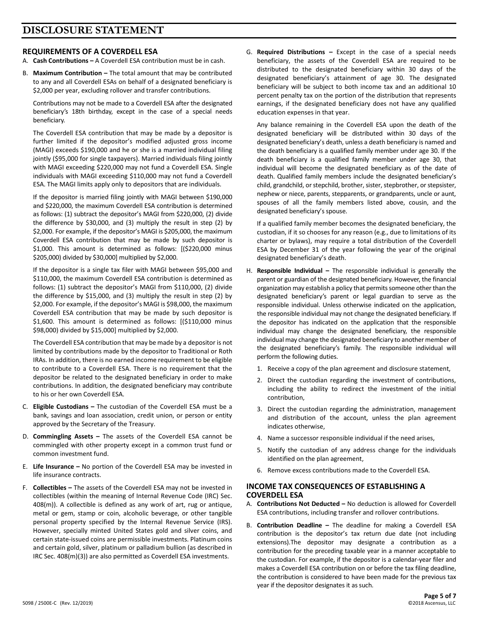# **REQUIREMENTS OF A COVERDELL ESA**

- A. **Cash Contributions –** A Coverdell ESA contribution must be in cash.
- B. Maximum Contribution The total amount that may be contributed to any and all Coverdell ESAs on behalf of a designated beneficiary is \$2,000 per year, excluding rollover and transfer contributions.

Contributions may not be made to a Coverdell ESA after the designated beneficiary's 18th birthday, except in the case of a special needs beneficiary.

The Coverdell ESA contribution that may be made by a depositor is further limited if the depositor's modified adjusted gross income (MAGI) exceeds \$190,000 and he or she is a married individual filing jointly (\$95,000 for single taxpayers). Married individuals filing jointly with MAGI exceeding \$220,000 may not fund a Coverdell ESA. Single individuals with MAGI exceeding \$110,000 may not fund a Coverdell ESA. The MAGI limits apply only to depositors that are individuals.

If the depositor is married filing jointly with MAGI between \$190,000 and \$220,000, the maximum Coverdell ESA contribution is determined as follows: (1) subtract the depositor's MAGI from \$220,000, (2) divide the difference by \$30,000, and (3) multiply the result in step (2) by \$2,000. For example, if the depositor's MAGI is \$205,000, the maximum Coverdell ESA contribution that may be made by such depositor is \$1,000. This amount is determined as follows: [(\$220,000 minus \$205,000) divided by \$30,000] multiplied by \$2,000.

If the depositor is a single tax filer with MAGI between \$95,000 and \$110,000, the maximum Coverdell ESA contribution is determined as follows: (1) subtract the depositor's MAGI from \$110,000, (2) divide the difference by \$15,000, and (3) multiply the result in step (2) by \$2,000. For example, if the depositor's MAGI is \$98,000, the maximum Coverdell ESA contribution that may be made by such depositor is \$1,600. This amount is determined as follows: [(\$110,000 minus \$98,000) divided by \$15,000] multiplied by \$2,000.

The Coverdell ESA contribution that may be made by a depositor is not limited by contributions made by the depositor to Traditional or Roth IRAs. In addition, there is no earned income requirement to be eligible to contribute to a Coverdell ESA. There is no requirement that the depositor be related to the designated beneficiary in order to make contributions. In addition, the designated beneficiary may contribute to his or her own Coverdell ESA.

- C. **Eligible Custodians –** The custodian of the Coverdell ESA must be a bank, savings and loan association, credit union, or person or entity approved by the Secretary of the Treasury.
- D. **Commingling Assets –** The assets of the Coverdell ESA cannot be commingled with other property except in a common trust fund or common investment fund.
- E. **Life Insurance –** No portion of the Coverdell ESA may be invested in life insurance contracts.
- F. **Collectibles –** The assets of the Coverdell ESA may not be invested in collectibles (within the meaning of Internal Revenue Code (IRC) Sec. 408(m)). A collectible is defined as any work of art, rug or antique, metal or gem, stamp or coin, alcoholic beverage, or other tangible personal property specified by the Internal Revenue Service (IRS). However, specially minted United States gold and silver coins, and certain state-issued coins are permissible investments. Platinum coins and certain gold, silver, platinum or palladium bullion (as described in IRC Sec. 408(m)(3)) are also permitted as Coverdell ESA investments.

G. **Required Distributions –** Except in the case of a special needs beneficiary, the assets of the Coverdell ESA are required to be distributed to the designated beneficiary within 30 days of the designated beneficiary's attainment of age 30. The designated beneficiary will be subject to both income tax and an additional 10 percent penalty tax on the portion of the distribution that represents earnings, if the designated beneficiary does not have any qualified education expenses in that year.

Any balance remaining in the Coverdell ESA upon the death of the designated beneficiary will be distributed within 30 days of the designated beneficiary's death, unless a death beneficiary is named and the death beneficiary is a qualified family member under age 30. If the death beneficiary is a qualified family member under age 30, that individual will become the designated beneficiary as of the date of death. Qualified family members include the designated beneficiary's child, grandchild, or stepchild, brother, sister, stepbrother, or stepsister, nephew or niece, parents, stepparents, or grandparents, uncle or aunt, spouses of all the family members listed above, cousin, and the designated beneficiary's spouse.

If a qualified family member becomes the designated beneficiary, the custodian, if it so chooses for any reason (e.g., due to limitations of its charter or bylaws), may require a total distribution of the Coverdell ESA by December 31 of the year following the year of the original designated beneficiary's death.

- H. **Responsible Individual –** The responsible individual is generally the parent or guardian of the designated beneficiary. However, the financial organization may establish a policy that permits someone other than the designated beneficiary's parent or legal guardian to serve as the responsible individual. Unless otherwise indicated on the application, the responsible individual may not change the designated beneficiary. If the depositor has indicated on the application that the responsible individual may change the designated beneficiary, the responsible individual may change the designated beneficiary to another member of the designated beneficiary's family. The responsible individual will perform the following duties.
	- 1. Receive a copy of the plan agreement and disclosure statement,
	- 2. Direct the custodian regarding the investment of contributions, including the ability to redirect the investment of the initial contribution,
	- 3. Direct the custodian regarding the administration, management and distribution of the account, unless the plan agreement indicates otherwise,
	- 4. Name a successor responsible individual if the need arises,
	- 5. Notify the custodian of any address change for the individuals identified on the plan agreement,
	- 6. Remove excess contributions made to the Coverdell ESA.

#### **INCOME TAX CONSEQUENCES OF ESTABLISHING A COVERDELL ESA**

- A. **Contributions Not Deducted –** No deduction is allowed for Coverdell ESA contributions, including transfer and rollover contributions.
- B. **Contribution Deadline –** The deadline for making a Coverdell ESA contribution is the depositor's tax return due date (not including extensions).The depositor may designate a contribution as a contribution for the preceding taxable year in a manner acceptable to the custodian. For example, if the depositor is a calendar-year filer and makes a Coverdell ESA contribution on or before the tax filing deadline, the contribution is considered to have been made for the previous tax year if the depositor designates it as such.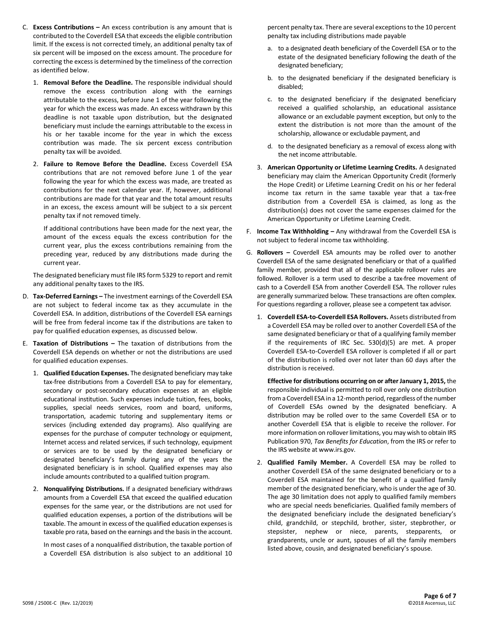- C. **Excess Contributions –** An excess contribution is any amount that is contributed to the Coverdell ESA that exceeds the eligible contribution limit. If the excess is not corrected timely, an additional penalty tax of six percent will be imposed on the excess amount. The procedure for correcting the excess is determined by the timeliness of the correction as identified below.
	- 1. **Removal Before the Deadline.** The responsible individual should remove the excess contribution along with the earnings attributable to the excess, before June 1 of the year following the year for which the excess was made. An excess withdrawn by this deadline is not taxable upon distribution, but the designated beneficiary must include the earnings attributable to the excess in his or her taxable income for the year in which the excess contribution was made. The six percent excess contribution penalty tax will be avoided.
	- 2. **Failure to Remove Before the Deadline.** Excess Coverdell ESA contributions that are not removed before June 1 of the year following the year for which the excess was made, are treated as contributions for the next calendar year. If, however, additional contributions are made for that year and the total amount results in an excess, the excess amount will be subject to a six percent penalty tax if not removed timely.

If additional contributions have been made for the next year, the amount of the excess equals the excess contribution for the current year, plus the excess contributions remaining from the preceding year, reduced by any distributions made during the current year.

The designated beneficiary must file IRS form 5329 to report and remit any additional penalty taxes to the IRS.

- D. **Tax-Deferred Earnings –** The investment earnings of the Coverdell ESA are not subject to federal income tax as they accumulate in the Coverdell ESA. In addition, distributions of the Coverdell ESA earnings will be free from federal income tax if the distributions are taken to pay for qualified education expenses, as discussed below.
- E. **Taxation of Distributions –** The taxation of distributions from the Coverdell ESA depends on whether or not the distributions are used for qualified education expenses.
	- 1. **Qualified Education Expenses.** The designated beneficiary may take tax-free distributions from a Coverdell ESA to pay for elementary, secondary or post-secondary education expenses at an eligible educational institution. Such expenses include tuition, fees, books, supplies, special needs services, room and board, uniforms, transportation, academic tutoring and supplementary items or services (including extended day programs). Also qualifying are expenses for the purchase of computer technology or equipment, Internet access and related services, if such technology, equipment or services are to be used by the designated beneficiary or designated beneficiary's family during any of the years the designated beneficiary is in school. Qualified expenses may also include amounts contributed to a qualified tuition program.
	- 2. **Nonqualifying Distributions.** If a designated beneficiary withdraws amounts from a Coverdell ESA that exceed the qualified education expenses for the same year, or the distributions are not used for qualified education expenses, a portion of the distributions will be taxable. The amount in excess of the qualified education expenses is taxable pro rata, based on the earnings and the basis in the account.

In most cases of a nonqualified distribution, the taxable portion of a Coverdell ESA distribution is also subject to an additional 10

percent penalty tax. There are several exceptions to the 10 percent penalty tax including distributions made payable

- a. to a designated death beneficiary of the Coverdell ESA or to the estate of the designated beneficiary following the death of the designated beneficiary;
- b. to the designated beneficiary if the designated beneficiary is disabled;
- c. to the designated beneficiary if the designated beneficiary received a qualified scholarship, an educational assistance allowance or an excludable payment exception, but only to the extent the distribution is not more than the amount of the scholarship, allowance or excludable payment, and
- d. to the designated beneficiary as a removal of excess along with the net income attributable.
- 3. **American Opportunity or Lifetime Learning Credits.** A designated beneficiary may claim the American Opportunity Credit (formerly the Hope Credit) or Lifetime Learning Credit on his or her federal income tax return in the same taxable year that a tax-free distribution from a Coverdell ESA is claimed, as long as the distribution(s) does not cover the same expenses claimed for the American Opportunity or Lifetime Learning Credit.
- F. **Income Tax Withholding –** Any withdrawal from the Coverdell ESA is not subject to federal income tax withholding.
- G. **Rollovers –** Coverdell ESA amounts may be rolled over to another Coverdell ESA of the same designated beneficiary or that of a qualified family member, provided that all of the applicable rollover rules are followed. Rollover is a term used to describe a tax-free movement of cash to a Coverdell ESA from another Coverdell ESA. The rollover rules are generally summarized below. These transactions are often complex. For questions regarding a rollover, please see a competent tax advisor.
	- 1. **Coverdell ESA-to-Coverdell ESA Rollovers.** Assets distributed from a Coverdell ESA may be rolled over to another Coverdell ESA of the same designated beneficiary or that of a qualifying family member if the requirements of IRC Sec. 530(d)(5) are met. A proper Coverdell ESA-to-Coverdell ESA rollover is completed if all or part of the distribution is rolled over not later than 60 days after the distribution is received.

**Effective for distributions occurring on or after January 1, 2015,** the responsible individual is permitted to roll over only one distribution from a Coverdell ESA in a 12-month period, regardless of the number of Coverdell ESAs owned by the designated beneficiary. A distribution may be rolled over to the same Coverdell ESA or to another Coverdell ESA that is eligible to receive the rollover. For more information on rollover limitations, you may wish to obtain IRS Publication 970, *Tax Benefits for Education*, from the IRS or refer to the IRS website at www.irs.gov.

2. **Qualified Family Member.** A Coverdell ESA may be rolled to another Coverdell ESA of the same designated beneficiary or to a Coverdell ESA maintained for the benefit of a qualified family member of the designated beneficiary, who is under the age of 30. The age 30 limitation does not apply to qualified family members who are special needs beneficiaries. Qualified family members of the designated beneficiary include the designated beneficiary's child, grandchild, or stepchild, brother, sister, stepbrother, or stepsister, nephew or niece, parents, stepparents, or grandparents, uncle or aunt, spouses of all the family members listed above, cousin, and designated beneficiary's spouse.